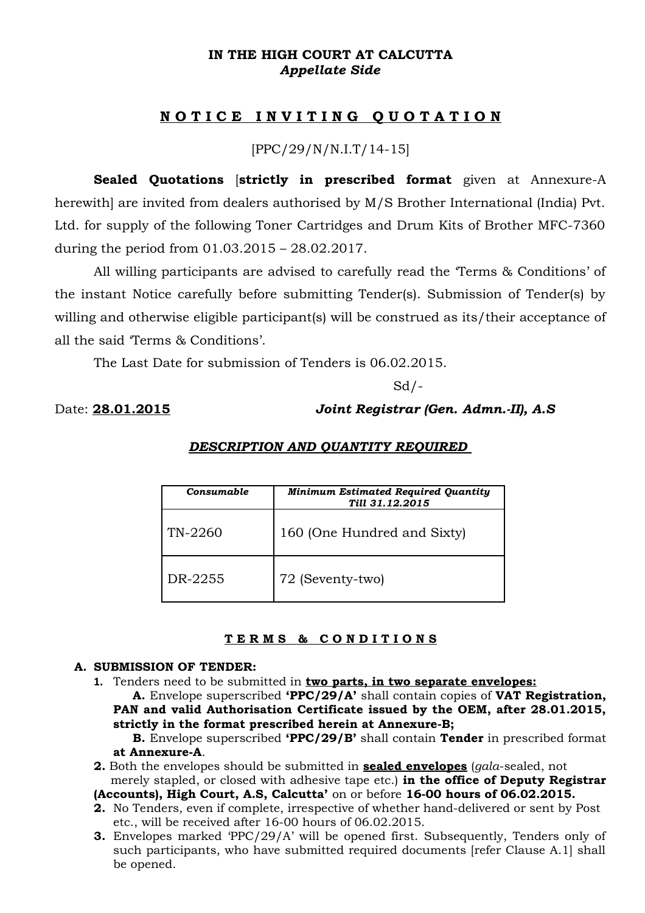## **IN THE HIGH COURT AT CALCUTTA** *Appellate Side*

# **N O T I C E I N V I T I N G Q U O T A T I O N**

[PPC/29/N/N.I.T/14-15]

**Sealed Quotations** [**strictly in prescribed format** given at Annexure-A herewith] are invited from dealers authorised by M/S Brother International (India) Pvt. Ltd. for supply of the following Toner Cartridges and Drum Kits of Brother MFC-7360 during the period from 01.03.2015 – 28.02.2017.

All willing participants are advised to carefully read the 'Terms & Conditions' of the instant Notice carefully before submitting Tender(s). Submission of Tender(s) by willing and otherwise eligible participant(s) will be construed as its/their acceptance of all the said 'Terms & Conditions'.

The Last Date for submission of Tenders is 06.02.2015.

 $Sd$  /-

### Date: **28.01.2015** *Joint Registrar (Gen. Admn.-II), A.S*

| <b>Consumable</b> | <b>Minimum Estimated Required Quantity</b><br>Till 31.12.2015 |
|-------------------|---------------------------------------------------------------|
| TN-2260           | 160 (One Hundred and Sixty)                                   |
| DR-2255           | 72 (Seventy-two)                                              |

#### *DESCRIPTION AND QUANTITY REQUIRED*

### **T E R M S & C O N D I T I O N S**

#### **A. SUBMISSION OF TENDER:**

**1.** Tenders need to be submitted in **two parts, in two separate envelopes:**

**A.** Envelope superscribed **'PPC/29/A'** shall contain copies of **VAT Registration, PAN and valid Authorisation Certificate issued by the OEM, after 28.01.2015, strictly in the format prescribed herein at Annexure-B;** 

**B.** Envelope superscribed **'PPC/29/B'** shall contain **Tender** in prescribed format **at Annexure-A**.

**2.** Both the envelopes should be submitted in **sealed envelopes** (*gala*-sealed, not merely stapled, or closed with adhesive tape etc.) **in the office of Deputy Registrar**

**(Accounts), High Court, A.S, Calcutta'** on or before **16-00 hours of 06.02.2015.** 

- **2.** No Tenders, even if complete, irrespective of whether hand-delivered or sent by Post etc., will be received after 16-00 hours of 06.02.2015.
- **3.** Envelopes marked 'PPC/29/A' will be opened first. Subsequently, Tenders only of such participants, who have submitted required documents [refer Clause A.1] shall be opened.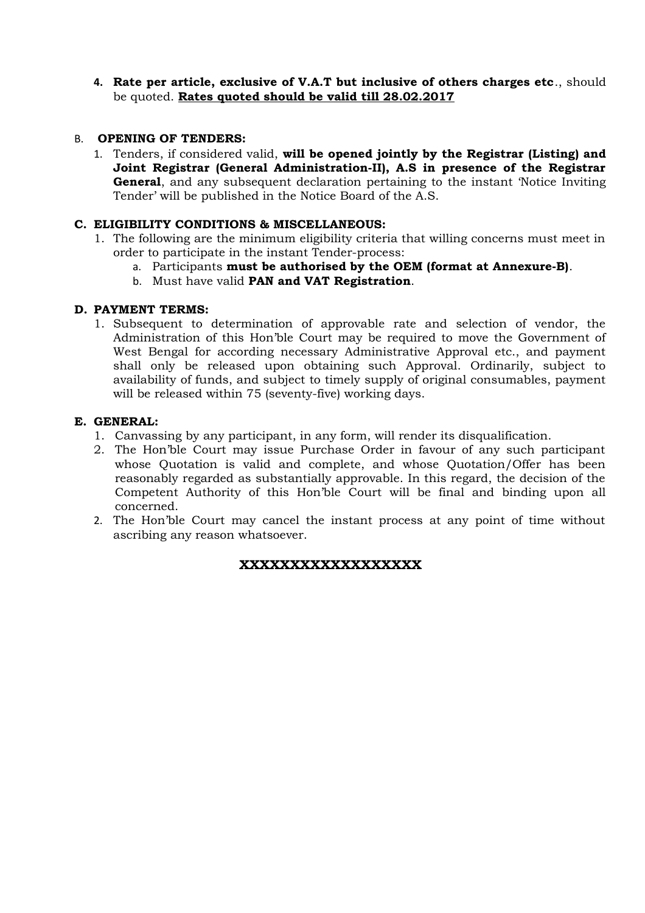**4. Rate per article, exclusive of V.A.T but inclusive of others charges etc**., should be quoted. **Rates quoted should be valid till 28.02.2017**

### B. **OPENING OF TENDERS:**

1. Tenders, if considered valid, **will be opened jointly by the Registrar (Listing) and Joint Registrar (General Administration-II), A.S in presence of the Registrar General**, and any subsequent declaration pertaining to the instant 'Notice Inviting Tender' will be published in the Notice Board of the A.S.

#### **C. ELIGIBILITY CONDITIONS & MISCELLANEOUS:**

- 1. The following are the minimum eligibility criteria that willing concerns must meet in order to participate in the instant Tender-process:
	- a. Participants **must be authorised by the OEM (format at Annexure-B)**.
	- b. Must have valid **PAN and VAT Registration**.

#### **D. PAYMENT TERMS:**

1. Subsequent to determination of approvable rate and selection of vendor, the Administration of this Hon'ble Court may be required to move the Government of West Bengal for according necessary Administrative Approval etc., and payment shall only be released upon obtaining such Approval. Ordinarily, subject to availability of funds, and subject to timely supply of original consumables, payment will be released within 75 (seventy-five) working days.

#### **E. GENERAL:**

- 1. Canvassing by any participant, in any form, will render its disqualification.
- 2. The Hon'ble Court may issue Purchase Order in favour of any such participant whose Quotation is valid and complete, and whose Quotation/Offer has been reasonably regarded as substantially approvable. In this regard, the decision of the Competent Authority of this Hon'ble Court will be final and binding upon all concerned.
- 2. The Hon'ble Court may cancel the instant process at any point of time without ascribing any reason whatsoever.

### **XXXXXXXXXXXXXXXXXX**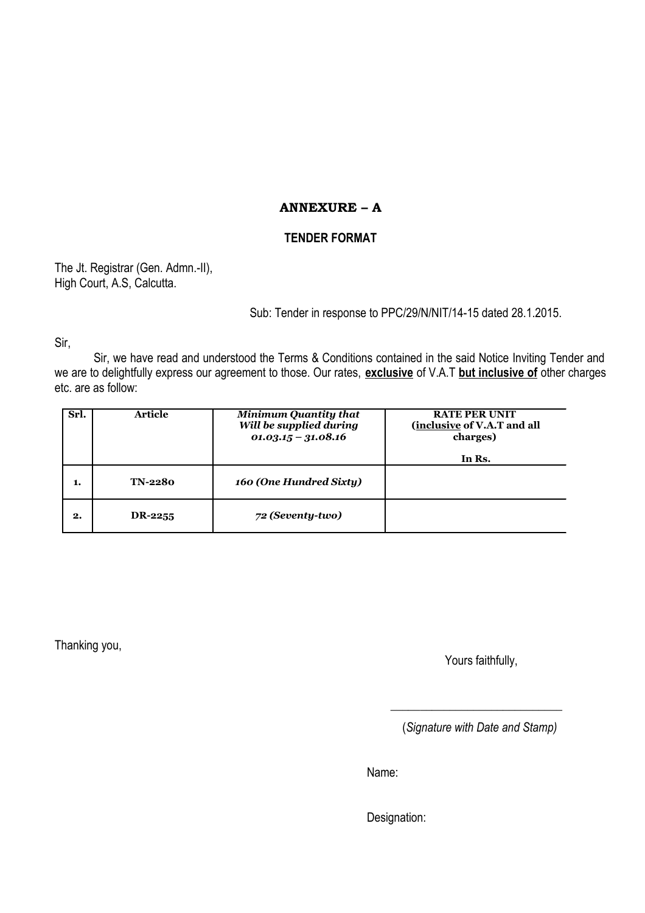# **ANNEXURE – A**

# **TENDER FORMAT**

The Jt. Registrar (Gen. Admn.-II), High Court, A.S, Calcutta.

Sub: Tender in response to PPC/29/N/NIT/14-15 dated 28.1.2015.

Sir,

Sir, we have read and understood the Terms & Conditions contained in the said Notice Inviting Tender and we are to delightfully express our agreement to those. Our rates, **exclusive** of V.A.T **but inclusive of** other charges etc. are as follow:

| Srl. | Article        | <b>Minimum Quantity that</b><br>Will be supplied during<br>$01.03.15 - 31.08.16$ | <b>RATE PER UNIT</b><br>(inclusive of V.A.T and all<br>charges) |
|------|----------------|----------------------------------------------------------------------------------|-----------------------------------------------------------------|
|      |                |                                                                                  | In Rs.                                                          |
| 1.   | <b>TN-2280</b> | 160 (One Hundred Sixty)                                                          |                                                                 |
| 2.   | DR-2255        | 72 (Seventy-two)                                                                 |                                                                 |

Thanking you,

Yours faithfully,

(*Signature with Date and Stamp)*

\_\_\_\_\_\_\_\_\_\_\_\_\_\_\_\_\_\_\_\_\_\_\_\_\_\_\_\_\_

Name:

Designation: